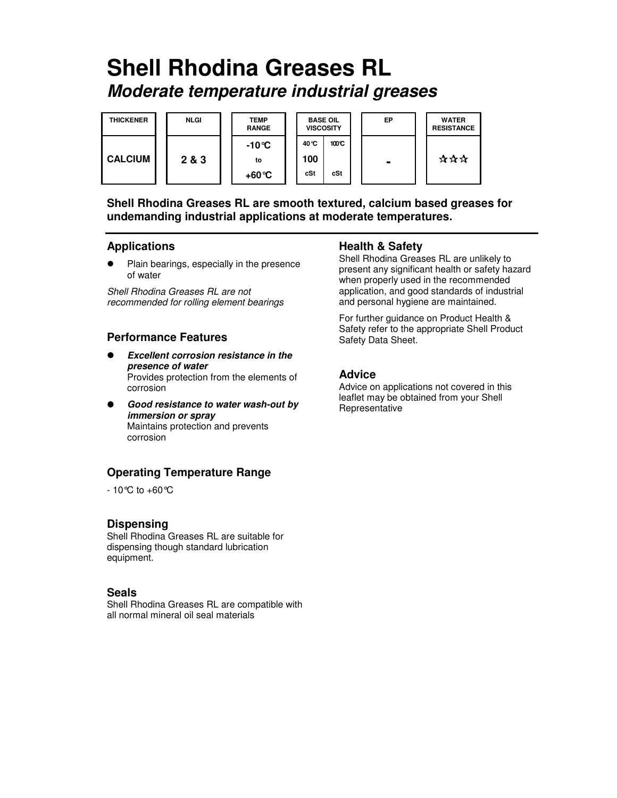# **Shell Rhodina Greases RL Moderate temperature industrial greases**



**Shell Rhodina Greases RL are smooth textured, calcium based greases for undemanding industrial applications at moderate temperatures.** 

## **Applications**

 $\bullet$  Plain bearings, especially in the presence of water

Shell Rhodina Greases RL are not recommended for rolling element bearings

## **Performance Features**

- $\bullet$  **Excellent corrosion resistance in the presence of water**  Provides protection from the elements of corrosion
- $\bullet$  **Good resistance to water wash-out by immersion or spray**  Maintains protection and prevents corrosion

# **Operating Temperature Range**

 $-10^{\circ}$ C to  $+60^{\circ}$ C

# **Dispensing**

Shell Rhodina Greases RL are suitable for dispensing though standard lubrication equipment.

#### **Seals**

Shell Rhodina Greases RL are compatible with all normal mineral oil seal materials

#### **Health & Safety**

Shell Rhodina Greases RL are unlikely to present any significant health or safety hazard when properly used in the recommended application, and good standards of industrial and personal hygiene are maintained.

For further guidance on Product Health & Safety refer to the appropriate Shell Product Safety Data Sheet.

# **Advice**

Advice on applications not covered in this leaflet may be obtained from your Shell Representative